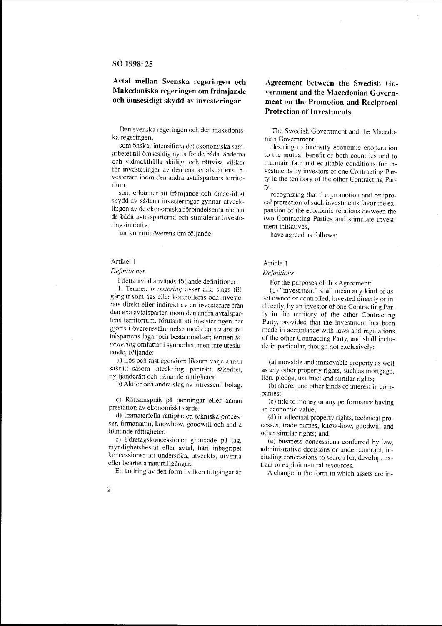# **Avtal mellan Svenska regeringen och Makedoniska regeringen om framjande och omsesidigt skydd av investeringar**

Den svenska regeringen och den makedoniska regeringen,

som bnskar intensifiera det ekonomiska samarbetet till ömsesidig nytta för de båda länderna och vidmakthålla skäliga och rättvisa villkor för investeringar av den ena avtalspartens investerare inom den andra avtalspartens territo**rium,** 

som erkänner att främjande och ömsesidigt skydd av sådana investeringar gynnar utvecklingen av de ekonomiska förbindelserna mellan de bilda avtalsparterna och stimulerar investe**ringsinitiativ,** 

har kommit överens om följande.

# Artikel I

# *Definitioner*

I detta avtal anvands fbljande definitioner:

1. Termen *investering* avser alla slags tillgångar som ägs eller kontrolleras och investerats direkt eller indirekt av en investerare fran den ena avtalsparten inom den andra avtalspartens territorium, förutsatt att investeringen har gjorts i överensstämmelse med den senare avtalspartens lagar och bestämmelser; termen in-*"estering* omfattar i synnerhet, men inte uteslutande, följande:

a) Lös och fast egendom liksom varje annan sakrätt såsom inteckning, panträtt, säkerhet, nyttjanderatt och liknande rattigheter.

b) Aktier och andra slag av intressen i bolag.

c) Rättsanspråk på penningar eller annan prestation av ekonomiskt varde.

d) Immateriella rättigheter, tekniska processer, firmanamn, knowhow, goodwill oeh andra liknande rättigheter.

e) Företagskoncessioner grundade på lag, myndighetsbeslut eller avtal, hari inbegripet koncessioner att undersöka, utveckla, utvinna eller bearbeta naturtillgangar.

En ändring av den form i vilken tillgångar är

# **Agreement between the Swedish Government and the Macedonian Government on the Promotion and Reciprocal Protection of Investments**

The Swedish Government and the Macedonian Government

desiring to intensify economic cooperation to the mutual benefit of both countries and to maintain fair and equitable conditions for investments by investors of one Contracting Party in the territory of the other Contracting Party,

recognizing that the promotion and reciprocal protection of such investments favor the expansion of the economic relations between the two Contracting Parties and stimulate investment initiatives,

have agreed as follows:

# Article I

## *Definitions*

For the purposes of this Agreement:

(I) "investment" shall mean any kind of asset owned or controlled, invested directly or indirectly, by an investor of one Contracting Party in the territory of the other Contracting Party, provided that the investment has been made **in** accordance with laws and regulations of the other Contracting Party, and shall include in particular, though not exclusively:

(a) movable and immovable property as well as any other property rights, such as mortgage, lien, pledge, usufruct and similar rights;

(b) shares and other kinds of interest in companies;

(c) title to money or any performance having an economic value;

(d) intellectual property rights, technical processes, trade names, know-how, goodwill and other similar rights; and

(e) business concessions conferred by law, administrative decisions or under contract, including concessions to search for, develop, extract or exploit natural resources.

A change **in** the form in which assets are in-

2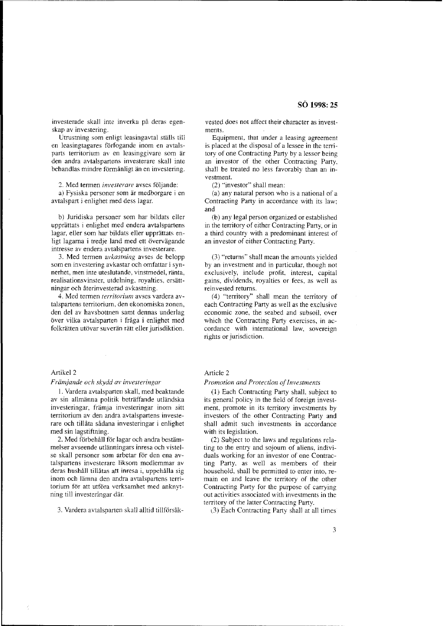investerade skall inte inverka pa deras egen**skap av investering.** 

Utrusming som enligt leasingavtal stalls till en leasingtagares forfogande inom en avtalsparts territorium av en leasinggivare som ar den andra avtalspartens investerare skall inte behandlas mindre förmånligt än en investering.

2. Med termen *investerare* avses följande: a) Fysiska personer som ar medborgare i en avtalspart i enlighet med dess lagar.

b) Juridiska personer som har bildats eller upprattats i enlighet med endera avtalspartens lagar, eller som har bildats eller upprättats enligt lagarna i tredje land med ett övervägande intresse av endera avtalspartens investerare.

3. Med termen *avkastning* avses de belopp som en investering avkastar och omfattar i synnerhet, men inte uteslutande, vinstmedel, ränta, realisationsvinster, utdelning, royalties, ersättningar och aterinvesterad avkastning.

4. Med termen *territorium* avses vardera avtalspartens territorium, den ekonomiska zonen, den del av havsbottnen samt dennas underlag över vilka avtalsparten i fråga i enlighet med folkrätten utövar suverän rätt eller jurisdiktion.

## Artikel 2

#### $F$ rämjande och skydd av *investeringar*

1. Vardera avtalsparten skall, med beaktande av sin allmänna politik beträffande utländska investeringar, främja investeringar inom sitt territorium av den andra avtalspartens investerare och tillata sadana investeringar i enlighet med sin lagstiftning.

2. Med förbehåll för lagar och andra bestämmelser avseende utlänningars inresa och vistelse skall personer som arbetar för den ena avtalspartens investerare liksom medlemmar av deras hushåll tillåtas att inresa i, uppehålla sig inom och lämna den andra avtalspartens territorium för att utföra verksamhet med anknytning till investeringar dar.

3. Vardera avtalsparten skall alltid tillförsäk-

vested does not affect their character as investments.

Equipment. that under a leasing agreement is placed at the disposal of a lessee in the territory of one Contracting Party by a lessor being an investor of the other Contracting Party, shall be treated no less favorably than an investment.

(2) "investor" shall mean:

(a) any natural person who is a national of a Contracting Party in accordance with its law: and

(b) any legal person organized or established in the territory of either Contracting Party, or in a third country with a predominant interest of an investor of either Contracting Party.

(3) "returns" shall mean the amounts yielded by an investment and in particular, though not exclusively, include profit. interest, capital gains, dividends, royalties or fees, as well as reinvested returns.

(4) "territory" shall mean the territory of each Contracting Partv as well as the exclusive economic zone, the seabed and subsoil, over which the Contracting Party exercises, in accordance with international law, sovereign rights or jurisdiction.

#### Article 2

#### *Promotion and Protection of Investments*

(1) Each Contracting Party shall, subject to its general policy in the field of foreign investment, promote in its territory investments by investors of the other Contracting Party and shall admit such investments in accordance with its legislation.

(2) Subject to the laws and regulations relating to the entry and sojourn of aliens, individuals working for an investor of one Contracting Party, as well as members of their household, shall be permitted to enter into, remain on and leave the territory of the other Contracting Party for the purpose of carrying out activities associated with investments in the territory of the latter Contracting Party.

\3) Each Contracting Party shall at all times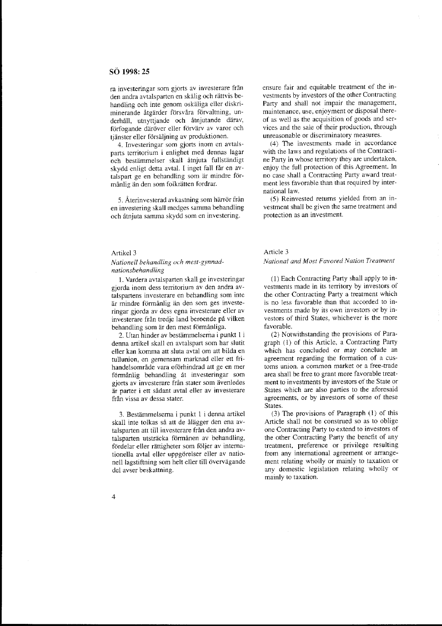# **SO 1998: 25**

ra investeringar som gjorts av investerare fran den andra avtalsparten en skalig och rattvis behandling och inte genom oskaliga eller diskriminerande åtgärder försvåra förvaltning, underhåll, utnyttjande och åtnjutande därav, förfogande däröver eller förvärv av varor och tjänster eller försäljning av produktionen.

4. Investeringar som gjorts inom en avtalsparts territorium i enlighet med dennas lagar och bestammelser skall atnjuta fullstandigt skydd enligt detta avtal. I inget fall får en avtalspart ge en behandling som är mindre förmånlig än den som folkrätten fordrar.

5. Aterinvesterad avkastning som harror fran en investering skall medges samma behandling och atnjuta samma skydd som en investering.

### Artikel3

### *Nationell hehandling och mest-gynnadnationshehandling*

1. Vardera avtalsparten skall ge investeringar gjorda inom dess territorium av den andra avtalspartens investerare en behandling som inte ar mindre forrnanlig an den som ges investeringar gjorda av dess egna investerare eller av investerare fran tredje land beroende pa vilken behandling som är den mest förmånliga.

2. Utan hinder av bestämmelserna i punkt 1 i denna artikel skall en avtalspart som har slutit eller kan komma att sluta avtal om att bilda en tullunion, en gemensam marknad eller ett frihandelsområde vara oförhindrad att ge en mer förmånlig behandling åt investeringar som gjorts av investerare från stater som ävenledes är parter i ett sådant avtal eller av investerare från vissa av dessa stater.

3. Bestammelserna i punkt 1 i denna artikel skall inte tolkas så att de ålägger den ena avtalsparten att till investerare fran den andra avtalsparten utsträcka förmånen av behandling, fördelar eller rättigheter som följer av internationella avtal eller uppgorelser eller av nationell lagstiftning som helt eller till övervägande del avser beskattning.

ensure fair and equitable treatment of the investments by investors of the other Contracting Party and shall not impair the management, maintenance. use, enjoyment or disposal thereof as well as the acquisition of goods and services and the sale of their production, through unreasonable or discriminatory measures.

(4) The investments made in accordance with the laws and regulations of the Contractine Party **in** whose territory they are undertaken, enjoy the full protection of this Agreement. **In**  no case shall a Contracting Party award treatment less favorable than that required by international law.

(5) Reinvested returns yielded from an investment shall be given the same treatment and protection as an investment.

#### Article 3

### *National and Most Favored Nation Treatment*

(I) Each Contracting Party shall apply to investments made **in** its territory by investors of the other Contracting Party a treatment which is no less favorable than that accorded to investments made by its own investors or by investors of third States, whichever is the more favorable.

(2) Notwithstanding the provisions of Paragraph (1) of this Article, a Contracting Party which has concluded or may conclude an agreement regarding the formation of a customs union. a common market or a free-trade area shall be free to grant more favorable treatment to investments by investors of the State or States which are also parties to the aforesaid agreements, or by investors of some of these States.

(3) The provisions of Paragraph (1) of this Article shall not be construed so as to oblige one Contracting Party to extend to investors of the other Contracting Party the benefit of any treatment, preference or privilege resulting from any international agreement or arrangement relating wholly or mainly to taxation or any domestic legislation relating wholly or mainly to taxation.

4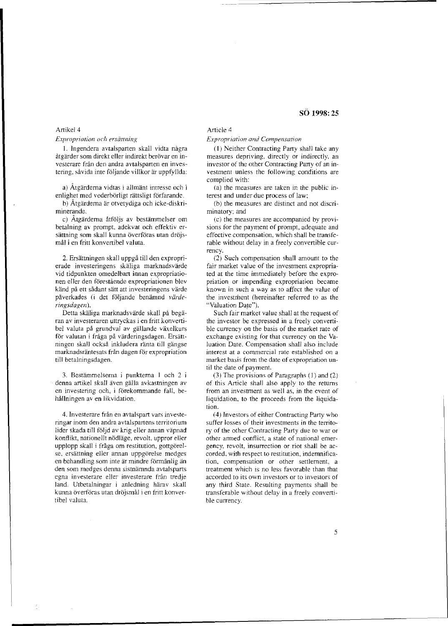## Artikel 4

## **Expropriation och ersättning**

l. lngendera avtalsparten skall vidta nagra åtgärder som direkt eller indirekt berövar en investerare från den andra avtalsparten en investering, såvida inte följande villkor är uppfyllda:

a) Atgarderna vidtas i allmant intresse och i enlighet med vederbörligt rättsligt förfarande.

b) Atgarderna ar otvetydiga och icke-diskriminerande.

c) Åtgärderna åtföljs av bestämmelser om betalning av prompt, adekvat och effektiv ersättning som skall kunna överföras utan dröjsmål i en fritt konvertibel valuta.

2. Ersattningen skall uppga till den exproprierade investeringens skaliga marknadsvarde vid tidpunkten omedelbart innan expropriationen eller den förestående expropriationen blev känd på ett sådant sätt att investeringens värde pilverkades (i det foljande benamnd *l'arderingsdagen).* 

Detta skäliga marknadsvärde skall på begäran av investeraren uttryckas i en fritt konvertibel valuta på grundval av gällande växelkurs för valutan i fråga på värderingsdagen. Ersättningen skall också inkludera ränta till gängse marknadsrantesats fran dagen for expropriation till betalningsdagen.

3. Bestammelserna i punkterna loch 2 i denna artikel skall aven galla avkastningen av en investering och, i forekommande fall. behållningen av en likvidation.

4. Investerare från en avtalspart vars investeringar inom den andra avtalspartens territorium lider skada till följd av krig eller annan väpnad konflikt, nationellt nödläge, revolt, uppror eller upplopp skall i fråga om restitution, gottgörelse, ersättning eller annan uppgörelse medges en behandling som inte ar mindre formanlig an den som medges denna sistnämnda avtalsparts egna investerare eller investerare från tredje land. Utbetalningar i anledning härav skall kunna överföras utan dröjsmål i en fritt konvertibel valuta.

# Article 4

### *Expropriation and Compensation*

(l) Neither Contracting Party shall take any measures depriving, directly or indirectly, an investor of the other Contracting Party of an investment unless the following conditions are complied with:

(a) the measures are taken in the public interest and under due process of law;

(b) the measures are distinct and not discriminatory; and

(c) the measures are accompanied by provisions for the payment of prompt, adequate and effective compensation, which shall be transferable without delay in a freely convertible cur**rency.** 

(2) Such compensation shall amount to the fair market value of the investment expropriated at the time immediately before the expropriation or impending expropriation became known in such a way as to affect the value of the investment (hereinafter referred to as the "Valuation Date").

Such fair market value shall at the request of the investor be expressed in a freely convertible currency on the basis of the market rate of exchange existing for that currency on the Valuation Date. Compensation shall also include interest at a commercial rate established on a market basis from the date of expropriation until the date of payment.

(3) The provisions of Paragraphs (l) and (2) of this Article shall also apply to the returns from an investment as well as, in the event of liquidation, to the proceeds from the liquidation.

(4) Investors of either Contracting Party who suffer losses of their investments in the territory of the other Contracting Party due to war or other armed conflict, a stale of national emergency, revolt, insurrection or riot shall be accorded, with respect to restitution, indemnification, compensation or other settlement, a treatment which is no less favorable than that accorded to its own investors or to investors of any third State. Resulting payments shall be transferable without delay in a freely convertible currency.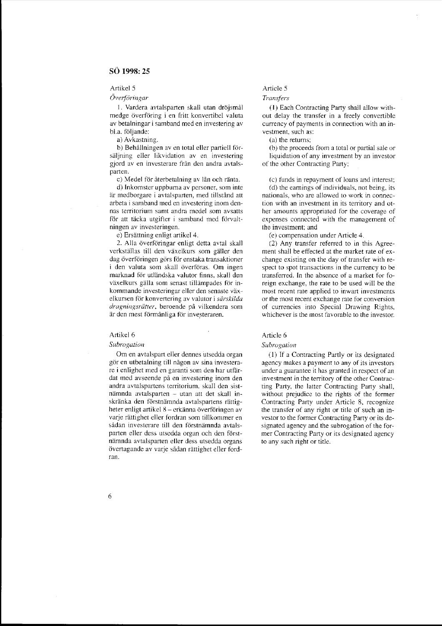# **sc) 1998: 25**

### Artikel 5

#### *Ove/fijl-Ingar*

1. Vardera avtalsparten skall utan dröjsmål medge överföring i en fritt konvertibel valuta av betalningar i sam band med en investering av bl.a. följande:

a) Avkastning.

b) Behållningen av en total eller partiell försaljning eller Iikvidation av en investering gjord av en investerare frin den andra avtalsparten.

c) Medel för återbetalning av lån och ränta.

d) Inkomster uppbuma av personer, som inte är medborgare i avtalsparten, med tillstånd att arbeta i samband med en investering inom dennas territorium samt andra medel som avsatts för att täcka utgifter i samband med förvaltningen av investeringen.

e) Ersattning enligt artikel 4.

2. Alla överföringar enligt detta avtal skall verkställas till den växelkurs som gäller den dag överföringen görs för enstaka transaktioner i den valuta som skall överföras. Om ingen marknad för utländska valutor finns, skall den växelkurs gälla som senast tillämpades för inkommande investeringar eller den senaste växelkursen för konvertering av valutor i särskilda *dragningsriilter,* beroende pa vilkendera sam är den mest förmånliga för investeraren.

# Artikel 6

#### *Subrogation*

Om en avtalspart eller dennes utsedda organ gör en utbetalning till någon av sina investerare i enlighet med en garanti som den har utfärdat med avseende på en investering inom den andra avtalspartens territorium, skall den sistnämnda avtalsparten - utan att det skall inskränka den förstnämnda avtalspartens rättigheter enligt artikel 8 – erkänna överföringen av varje rättighet eller fordran som tillkommer en sådan investerare till den förstnämnda avtalsparten eller dess utsedda organ och den förstnämnda avtalsparten eller dess utsedda organs övertagande av varje sådan rättighet eller fordran.

### Article 5

#### *Transfers*

(I) Each Contracting Party shall allow without delay the transfer in a freely convertible currency of payments in connection with an investment, such as:

(a) the returns;

(b) the proceeds from a total or partial sale or liquidation of any investment by an investor of the other Contracting Party:

(c) funds in repayment of loans and interest: (d) the earnings of individuals, not being, its nationals, who are allowed to work in connection with an investment in its territory and ot-

her amounts appropriated for the coverage of expenses connected with the management of the investment: and

(e) compensation under Article 4.

(2) Any transfer referred to in this Agreement shall be effected at the market rate of exchange existing on the day of transfer with respect to spot transactions in the currency to be transferred. **In** the absence of a market for foreign exchange, the rate to be used will be the most recent rate applied to inwart investments or the most recent exchange rate for conversion of currencies into Special Drawing Rights, whichever is the most favorable to the investor.

### Article 6

# *Subrogation*

(1) If a Contracting Partly or its designated agency makes a payment to any of its investors under a guarantee it has granted in respect of an investment in the territory of the other Contracting Party, the latter Contracting Party shall, without prejudice to the rights of the former Contracting Party under Article 8, recognize the transfer of any right or title of such an investor to the former Contracting Party or its designated agency and the subrogation of the former Contracting Party or its designated agency to any such right or title.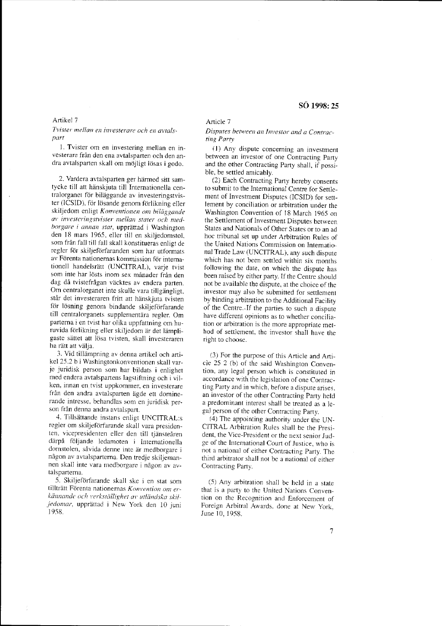## Artikel 7

*Tvister mellon en investerare oeh en awalspart* 

I. Tvister om en investering mellan en investerare från den ena avtalsparten och den andra avtalsparten skall om möjligt lösas i godo.

2. Vardera avtalsparten ger harmed sitt samtycke till att hanskjuta till Internationella centralorganet for bilaggande av investeringstvister (ICSID), för lösande genom förlikning eller skiljedom enligt *Konventionen om biläggande*  $av$  investeringstvister mellan stater och med*hor/iare i annan* 5101, upprattad i Washington den 18 mars 1965, eller till en skiljedomstol, som fran fall till fall skall konstitueras enligr de regler for skiljeforfaranden som har utformats av Förenta nationernas kommission för internationell handelsrätt (UNCITRAL), varje tvist som inte har lösts inom sex månader från den dag då tvistefrågan väcktes av endera parten. Om centralorganet inte skulle vara tillgangligt, star del investeraren fritt att hanskjuta rvisten för lösning genom bindande skiljeförfarande till centralorganets supplementära regler. Om parterna i en tvist har olika uppfattning om huruvida förlikning eller skiljedom är det lämpligaste sättet att lösa tvisten, skall investeraren ha rätt att välja.

3. Vid tillämpning av denna artikel och artike125.2 b i Washingtonkonventionen skall varje juridisk person som har bildats i enlighet med endera avtalspartens lagstiftning och i vilken, innan en tvist uppkommer, en investerare från den andra avtalsparten ägde ett dominerande intresse, behandlas som en juridisk person från denna andra avtalspart.

4. Tillsattande instans enligt UNCITRAL:s regler om skiljeförfarande skall vara presidenten, vicepresidenten eller den till tjänsteåren därpå följande ledamoten i Internationella domstolen, såvida denne inte är medborgare i någon av avtalsparterna. Den tredje skiljemannen skall inte vara medborgare i någon av avtalsparterna.

5. Skiljeförfarande skall ske i en stat som tillträtt Förenta nationernas *Konvention om er*kännande och verkställighet av utländska skiljedomar, upprättad i New York den 10 juni 1958.

# Article 7

## *Disputes between an Investor and a Contracting Party*

(I) Any dispute concerning an investment between an investor of one Contracting Party and the other Contracting Party shall, if possible, be settled amicably.

(2) Each Contracting Party hereby consents to submit to the International Centre for Settlement of Investment Disputes (ICSID) for settlement by conciliation or arbitration under the Washington Convention of 18 March 1965 on the Settlement of Investment Disputes between States and Nationals of Other States or to an ad hoc tribunal set up under Arbitration Rules of the United Nations Commission on International Trade Law (UNCITRAL), any such dispute which has not been settled within six months following the date, on which the dispute has been raised by either party. If the Centre should not be available the dispute, at the choice of the investor may also be submitted for settlement by binding arbitration to the Additional Facility of the Centre .. If the parties to such a dispute have different opinions as to whether conciliation or arbitration is the more appropriate method of settlement. the investor shall have the right to choose.

(3) For the purpose of this Article and Anicle 25 2 (b) of the said Washington Convention, any legal person which is constituted in accordance with the legislation of one Contracting Party and in which, before a dispute arises. an investor of the other Contracting Party held a predominant interest shall be treated as a legal person of the other Contracting Party.

(4) The appointing authority under the UN-CITRAL Arbitration Rules shall be the President. the Vice-President or the next senior Judge of the International Court of Justice, who is not a national of either Contracting Party. The third arbitrator shall not be a national of either Contracting Party.

(5) Any arbitration shall be held in a state that is a party to the United Nations Convention on the Recognition and Enforcement of Foreign Arbitral Awards. done at New York, June 10, 1958.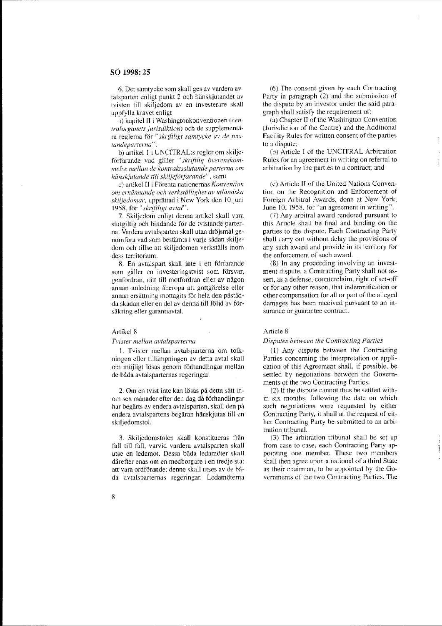# **SO 1998: 25**

6. Det samtycke som skull ges av vardera avtalsparten enligt punkt 2 och hanskjutandet av tvisten till skiljedom av en investerare skall uppfylla kravet enligt

a) kupitel II i Washingtonkonventionen *(centralorganets jurisdiktion*) och de supplementära reglerna för "skriftligt samtycke av de tvis*tandeparterna" ,* 

b) artikel 1 i UNCITRAL:s regler om skiljeförfarande vad gäller "skriftlig överenskom*melse mellan de kOlltraktsslutande partema om hänskjutande till skiljeförfarande"*, samt

c) artikel II i Förenta nationernas *Konvention*  $om$  erkännande och verkställighet av utländska *skiljedomar,* upprattad i New York den 10 juni 1958, för " *skriftligt avtal*".

7. Skiljedom enligt denna artikel skall vam slutgiltig och bindande for de tvistande parterna. Vardera avtalsparten skall utan drojsmal genomföra vad som bestämts i varje sådan skiljedom och tillse att skiljedomen verkstalls inom dess territorium.

8. En avtalspart skall inte i ett förfarande som gäller en investeringstvist som försvar, genfordran, rätt till motfordran eller av någon annan anledning åberopa att gottgörelse eller annan ersättning mottagits för hela den påstådda skadan eller en del av denna till följd av försäkring eller garantiavtal.

#### Artikel 8

#### *Tvister mel/an avtalsparterna*

I. Tvister mellan avtalsparterna om tolkningen eller tillämpningen av detta avtal skall om möjligt lösas genom förhandlingar mellan de båda avtalsparternas regeringar.

2. Om en tvist inte kan lösas på detta sätt inom sex månader efter den dag då förhandlingar har begärts av endera avtalsparten, skall den på endera avtalspartens begaran hanskjutas till en skiljedomstol.

3. Skiljedomstolen skall konstitueras från fall till fall, varvid vardera avtalsparten skall utse en ledamot. Dessa båda ledamöter skall därefter enas om en medborgare i en tredje stat att vara ordförande; denne skall utses av de båda avtalspartemas regeringar. Ledambterna

(6) The consent given by each Contracting Party in paragraph  $(2)$  and the submission of the dispute by an investor under the said paragraph shall satisfy the requirement of:

(a) Chapter II of the Washington Convention (Jurisdiction of the Centre) and the Additional Facility Rules for written consent of the parties to a dispute;

(b) Article I of the UNCITRAL Arbitration Rules for an agreement in writing on referral to arbitration by the parties to a contract; and

(c) Article II of the United Nations Convention on the Recognition and Enforcement of Foreign Arbitral Awards, done at New York, June 10, 1958, for "an agreement in writing".

(7) Any arbitral award rendered pursuant to this Article shall be final and binding on the parties to the dispute. Each Contracting Party shall carry out without delay the provisions of any such award and provide in its territory for the enforcement of such award.

(8) In any proceeding involving an investment dispute, a Contracting Party shall not assert, as a defense, counterclaim, right of set-off or for any other reason, that indemnification or other compensation for all or part of the alleged damages has been received pursuant to an in**surance or guarantee contract.** 

#### Article 8

## *Disputes between the Contracting Parties*

(\) Any dispute between the Contracting Parties concerning the interpretation or application of this Agreement shall, if possible, be settled by negotiations between the Governments of the two Contracting Parties.

(2) If the dispute cannot thus be settled within six months, following the date on which such negotiations were requested by either Contracting Party, it shall at the request of either Contracting Party be submitted to an arbitration tribunal.

(3) The arbitration tribunal shall be set up from case to case, each Contracting Party appointing one member. These two members shall then agree upon a national of a third State as their chairman, to be appointed by the Governments of the two Contracting Parties. The

8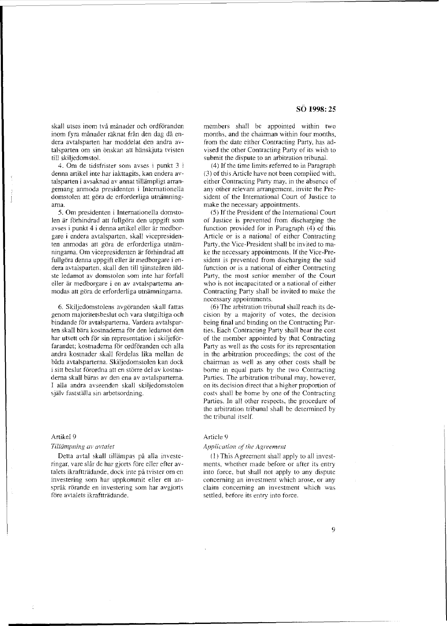skall utses inom två månader och ordföranden inom fyra månader räknat från den dag då endera avtalsparten har meddelat den andra avtalsparten om sin önskan att hänskjuta tvisten till skiljedomstoL

4. Om de tidsfrister som avses i punkt 3 i denna artikel inte har iakttagits, kan endera avtalsparten i avsaknad av annat tillämpligt arrangemang anmoda presidenten i Internationella domstolen att göra de erforderliga utnämningama.

5. Om presidenten i Internationella domstolen är förhindrad att fullgöra den uppgift som avses i punkt 4 i denna artikel eller är medborgare i endera avtalsparten, skall vicepresidenten anmodas att göra de erforderliga utnämningarna. Om vicepresidenten är förhindrad att fullgöra denna uppgift eller är medborgare i endera avtalsparten, skall den till tjänsteåren äldste ledamot av domstolen som inte har förfall eller är medborgare i en av avtalsparterna anmodas att göra de erforderliga utnämningarna.

6. Skiljedomstolens avgöranden skall fattas genom majoritetsbeslut och vara slutgiltiga och bindande för avtalsparterna. Vardera avtalsparten skall bära kostnaderna för den ledamot den har utsett och för sin representation i skiljeförfarandet; kostnaderna för ordföranden och alla andra kostnader skall fordelas lika mellan de bada avtalsparterna. Skiljedomstolen kan dock i sitt beslut förordna att en större del av kostnaderna skall bäras av den ena av avtalsparterna. I alIa andra avseenden skall skiljedomstolen själv fastställa sin arbetsordning.

#### Artikel 9

#### **Tillämpning** av avtalet

Detta avtal skall tillämpas på alla investeringar, yare slar de har gjorts fore eller efter avtalets ikraftträdande, dock inte på tvister om en investering som har uppkommit eller ett anspråk rörande en investering som har avgjorts före avtalets ikraftträdande.

members shall be appointed within two months, and the chairman within four months, from the date either Contracting Party, has advised the other Contracting Party of its wish to submit the dispute to an arbitration tribunal.

(4) If the time limits referred to in Paragraph (3) of this Article have not been complied with, either Contracting Party may, in the absence of any other relevant arrangement, invite the President of the Intemational Court of Justice to make the necessary appointments.

(5) If the President of the International Court of Justice is prevented from discharging the function provided for in Paragraph (4) of this Article or is a national of either Contracting Party, the Vice-President shall be invited to make the necessary appointments. If the Vice-President is prevented from discharging the said function or is a national of either Contracting Party, the most senior memher of the Court who is not incapacitated or a national of either Contracting Party shall be invited to make the necessary appointments.

(6) The arbitration tribunal shall reach its decision by a majority of votes, the decision being final and binding on the Contracting Parties. Each Contracting Party shall bear the cost of the member appointed by that Contracting Party as well as the costs for its representation in the arhitration proceedings; the cost of the chainnan as well as any other costs shall be borne in equal parts by the two Contracting Parties. The arbitration tribunal may, however, on its decision direct that a higher proportion of costs shall be borne by one of the Contracting Parties. In all other respects, the procedure of the arbitration tribunal shall be detennined by the tribunal itself.

### Article 9

#### *Application o{the Agreement*

(1) This Agreement shall apply to all investments, whether made before or after its entry into force, but shall not apply to any dispute concerning an investment which arose, or any **claim concerning an investment which was**  settled. before its entry into force.